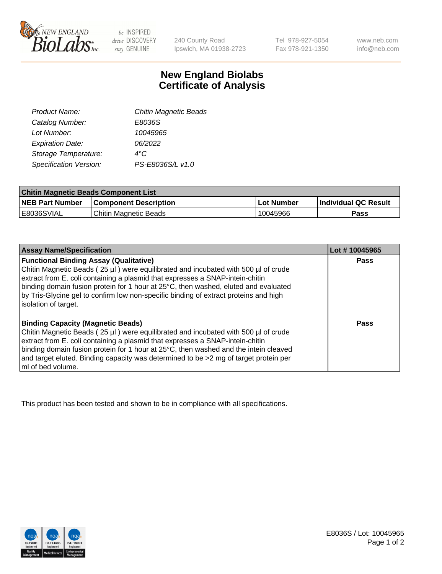

 $be$  INSPIRED drive DISCOVERY stay GENUINE

240 County Road Ipswich, MA 01938-2723 Tel 978-927-5054 Fax 978-921-1350 www.neb.com info@neb.com

## **New England Biolabs Certificate of Analysis**

| Product Name:                 | <b>Chitin Magnetic Beads</b> |
|-------------------------------|------------------------------|
| Catalog Number:               | E8036S                       |
| Lot Number:                   | 10045965                     |
| <b>Expiration Date:</b>       | 06/2022                      |
| Storage Temperature:          | 4°C                          |
| <b>Specification Version:</b> | PS-E8036S/L v1.0             |
|                               |                              |

| <b>Chitin Magnetic Beads Component List</b> |                              |            |                      |  |
|---------------------------------------------|------------------------------|------------|----------------------|--|
| <b>NEB Part Number</b>                      | <b>Component Description</b> | Lot Number | Individual QC Result |  |
| E8036SVIAL                                  | Chitin Magnetic Beads        | 10045966   | Pass                 |  |

| <b>Assay Name/Specification</b>                                                                                                                                                                                                                                                                             | Lot #10045965 |
|-------------------------------------------------------------------------------------------------------------------------------------------------------------------------------------------------------------------------------------------------------------------------------------------------------------|---------------|
| <b>Functional Binding Assay (Qualitative)</b><br>Chitin Magnetic Beads (25 µl) were equilibrated and incubated with 500 µl of crude<br>extract from E. coli containing a plasmid that expresses a SNAP-intein-chitin<br>binding domain fusion protein for 1 hour at 25°C, then washed, eluted and evaluated | Pass          |
| by Tris-Glycine gel to confirm low non-specific binding of extract proteins and high<br>solation of target.                                                                                                                                                                                                 |               |
| <b>Binding Capacity (Magnetic Beads)</b>                                                                                                                                                                                                                                                                    | Pass          |
| Chitin Magnetic Beads (25 µl) were equilibrated and incubated with 500 µl of crude                                                                                                                                                                                                                          |               |
| extract from E. coli containing a plasmid that expresses a SNAP-intein-chitin                                                                                                                                                                                                                               |               |
| binding domain fusion protein for 1 hour at 25°C, then washed and the intein cleaved<br>and target eluted. Binding capacity was determined to be >2 mg of target protein per                                                                                                                                |               |
| ml of bed volume.                                                                                                                                                                                                                                                                                           |               |

This product has been tested and shown to be in compliance with all specifications.